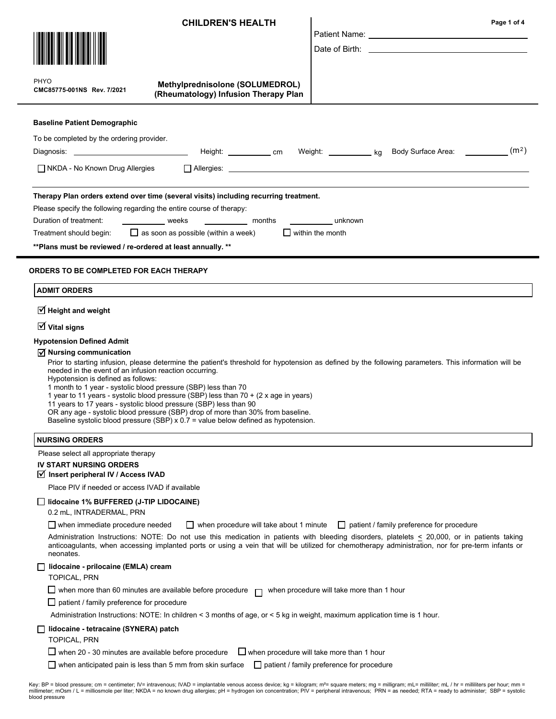|                                                                                                                                                                                                                                                                                                                                                                                      | <b>CHILDREN'S HEALTH</b>                                                                                                                                                                                                                                        | Date of Birth: the contract of the contract of the contract of the contract of the contract of the contract of the contract of the contract of the contract of the contract of the contract of the contract of the contract of                                                                    | Page 1 of 4 |
|--------------------------------------------------------------------------------------------------------------------------------------------------------------------------------------------------------------------------------------------------------------------------------------------------------------------------------------------------------------------------------------|-----------------------------------------------------------------------------------------------------------------------------------------------------------------------------------------------------------------------------------------------------------------|---------------------------------------------------------------------------------------------------------------------------------------------------------------------------------------------------------------------------------------------------------------------------------------------------|-------------|
| <b>PHYO</b><br>CMC85775-001NS Rev. 7/2021                                                                                                                                                                                                                                                                                                                                            | Methylprednisolone (SOLUMEDROL)<br>(Rheumatology) Infusion Therapy Plan                                                                                                                                                                                         |                                                                                                                                                                                                                                                                                                   |             |
| <b>Baseline Patient Demographic</b><br>To be completed by the ordering provider.<br>NKDA - No Known Drug Allergies                                                                                                                                                                                                                                                                   |                                                                                                                                                                                                                                                                 |                                                                                                                                                                                                                                                                                                   |             |
| Please specify the following regarding the entire course of therapy:<br>Duration of treatment:<br>Treatment should begin: $\Box$ as soon as possible (within a week)<br>** Plans must be reviewed / re-ordered at least annually. **                                                                                                                                                 | Therapy Plan orders extend over time (several visits) including recurring treatment.<br>_____________ weeks _____________ months ____________ unknown                                                                                                           | $\Box$ within the month                                                                                                                                                                                                                                                                           |             |
| ORDERS TO BE COMPLETED FOR EACH THERAPY<br><b>ADMIT ORDERS</b><br>$\triangledown$ Height and weight<br>$\overline{\mathbf{y}}$ Vital signs<br><b>Hypotension Defined Admit</b><br>$\sqrt{ }$ Nursing communication<br>needed in the event of an infusion reaction occurring.<br>Hypotension is defined as follows:<br>1 month to 1 year - systolic blood pressure (SBP) less than 70 |                                                                                                                                                                                                                                                                 | Prior to starting infusion, please determine the patient's threshold for hypotension as defined by the following parameters. This information will be                                                                                                                                             |             |
| 11 years to 17 years - systolic blood pressure (SBP) less than 90                                                                                                                                                                                                                                                                                                                    | 1 year to 11 years - systolic blood pressure (SBP) less than 70 + (2 x age in years)<br>OR any age - systolic blood pressure (SBP) drop of more than 30% from baseline.<br>Baseline systolic blood pressure (SBP) $x$ 0.7 = value below defined as hypotension. |                                                                                                                                                                                                                                                                                                   |             |
| <b>NURSING ORDERS</b>                                                                                                                                                                                                                                                                                                                                                                |                                                                                                                                                                                                                                                                 |                                                                                                                                                                                                                                                                                                   |             |
| Please select all appropriate therapy<br><b>IV START NURSING ORDERS</b><br>Insert peripheral IV / Access IVAD<br>Place PIV if needed or access IVAD if available<br>Idocaine 1% BUFFERED (J-TIP LIDOCAINE)<br>0.2 mL, INTRADERMAL, PRN<br>$\Box$ when immediate procedure needed                                                                                                     | $\Box$ when procedure will take about 1 minute                                                                                                                                                                                                                  | $\Box$ patient / family preference for procedure                                                                                                                                                                                                                                                  |             |
| neonates.                                                                                                                                                                                                                                                                                                                                                                            |                                                                                                                                                                                                                                                                 | Administration Instructions: NOTE: Do not use this medication in patients with bleeding disorders, platelets < 20,000, or in patients taking<br>anticoagulants, when accessing implanted ports or using a vein that will be utilized for chemotherapy administration, nor for pre-term infants or |             |
| lidocaine - prilocaine (EMLA) cream<br><b>TOPICAL, PRN</b><br>$\Box$ when more than 60 minutes are available before procedure<br>$\Box$ patient / family preference for procedure<br>lidocaine - tetracaine (SYNERA) patch<br><b>TOPICAL, PRN</b>                                                                                                                                    | Administration Instructions: NOTE: In children < 3 months of age, or < 5 kg in weight, maximum application time is 1 hour.                                                                                                                                      | when procedure will take more than 1 hour<br>$\Box$ when procedure will take more than 1 hour                                                                                                                                                                                                     |             |
| $\Box$ when 20 - 30 minutes are available before procedure<br>$\Box$ when anticipated pain is less than 5 mm from skin surface                                                                                                                                                                                                                                                       |                                                                                                                                                                                                                                                                 | patient / family preference for procedure                                                                                                                                                                                                                                                         |             |

Key: BP = blood pressure; cm = centimeter; IV= intravenous; IVAD = implantable venous access device; kg = kilogram; mª= square meters; mg = milligram; mL= milliliter; mL / hr = milliiters per hour; mm =<br>millimeter; mOsm /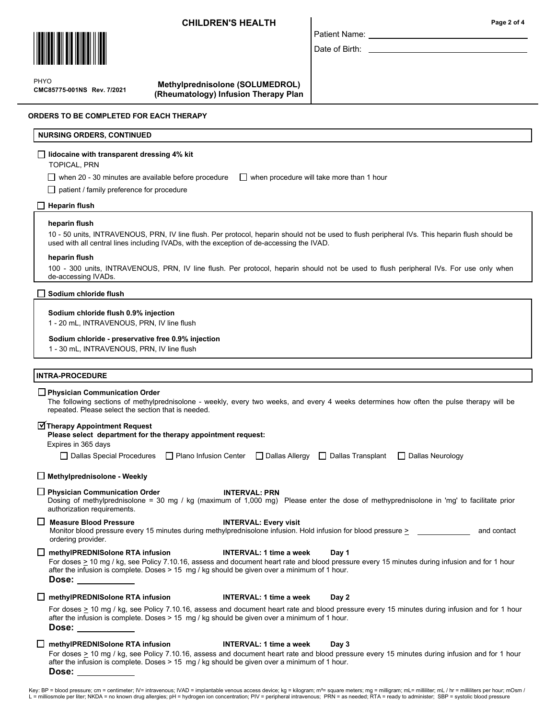## CHILDREN'S HEALTH



 $\mathbf{P}$ PHYO

CMC85775-001NS Rev. 7/2021

Methylprednisolone (SOLUMEDROL) (Rheumatology) Infusion Therapy Plan

### ORDERS TO BE COMPLETED FOR EACH THERAPY

NURSING ORDERS, CONTINUED

## lidocaine with transparent dressing 4% kit

TOPICAL, PRN

when 20 - 30 minutes are available before procedure  $\Box$  when procedure will take more than 1 hour

 $\Box$  patient / family preference for procedure

### $\Box$  Heparin flush

### heparin flush

10 - 50 units, INTRAVENOUS, PRN, IV line flush. Per protocol, heparin should not be used to flush peripheral IVs. This heparin flush should be used with all central lines including IVADs, with the exception of de-accessing the IVAD.

Patient Name: Date of Birth:

### heparin flush

100 - 300 units, INTRAVENOUS, PRN, IV line flush. Per protocol, heparin should not be used to flush peripheral IVs. For use only when de-accessing IVADs.

|  | $\Box$ Sodium chloride flush |
|--|------------------------------|
|--|------------------------------|

### Sodium chloride flush 0.9% injection

1 - 20 mL, INTRAVENOUS, PRN, IV line flush

### Sodium chloride - preservative free 0.9% injection

1 - 30 mL, INTRAVENOUS, PRN, IV line flush

### INTRA-PROCEDURE

### **Physician Communication Order**

The following sections of methylprednisolone - weekly, every two weeks, and every 4 weeks determines how often the pulse therapy will be repeated. Please select the section that is needed.

# Therapy Appointment Request

| Please select department for the therapy appointment request: |
|---------------------------------------------------------------|
|---------------------------------------------------------------|

Expires in 365 days

| Dallas Special Procedures | $\Box$ Plano Infusion Center |  | □ Dallas Allergy □ Dallas Transplant □ Dallas Neurology |  |
|---------------------------|------------------------------|--|---------------------------------------------------------|--|
|---------------------------|------------------------------|--|---------------------------------------------------------|--|

### $\Box$  Methylprednisolone - Weekly

 $\Box$  Physician Communication Order Dosing of methylprednisolone = 30 mg / kg (maximum of 1,000 mg) Please enter the dose of methyprednisolone in 'mg' to facilitate prior authorization requirements. INTERVAL: PRN

□ Measure Blood Pressure INTERVAL: Every visit

Monitor blood pressure every 15 minutes during methylprednisolone infusion. Hold infusion for blood pressure > and contact ordering provider.

## $\Box$  methylPREDNISolone RTA infusion  $\Box$  INTERVAL: 1 time a week Day 1

For doses  $\geq$  10 mg / kg, see Policy 7.10.16, assess and document heart rate and blood pressure every 15 minutes during infusion and for 1 hour after the infusion is complete. Doses > 15 mg / kg should be given over a minimum of 1 hour. Dose:

 $\Box$  methylPREDNISolone RTA infusion  $\Box$  INTERVAL: 1 time a week Day 2

For doses  $\geq$  10 mg / kg, see Policy 7.10.16, assess and document heart rate and blood pressure every 15 minutes during infusion and for 1 hour after the infusion is complete. Doses > 15 mg / kg should be given over a minimum of 1 hour. Dose:

## $\Box$  methylPREDNISolone RTA infusion  $\Box$  INTERVAL: 1 time a week Day 3

For doses  $\geq$  10 mg / kg, see Policy 7.10.16, assess and document heart rate and blood pressure every 15 minutes during infusion and for 1 hour after the infusion is complete. Doses > 15 mg / kg should be given over a minimum of 1 hour. Dose:

Key: BP = blood pressure; cm = centimeter; IV= intravenous; IVAD = implantable venous access device; kg = kilogram; m<sup>2</sup>= square meters; mg = milligram; mL= milliliter; mL / hr = milliliters per hour; mOsm / L = milliosmole per liter; NKDA = no known drug allergies; pH = hydrogen ion concentration; PIV = peripheral intravenous; PRN = as needed; RTA = ready to administer; SBP = systolic blood pressure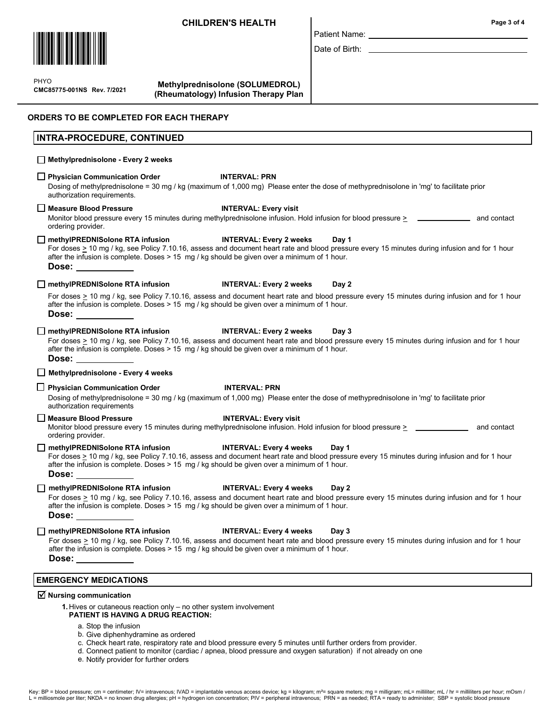## CHILDREN'S HEALTH



 $\mathbf{P}$ CMC85775-001NS Rev. 7/2021 PHYO

Methylprednisolone (SOLUMEDROL) (Rheumatology) Infusion Therapy Plan

## ORDERS TO BE COMPLETED FOR EACH THERAPY

## INTRA-PROCEDURE, CONTINUED

## Methylprednisolone - Every 2 weeks

## □ Physician Communication Order INTERVAL: PRN

Dosing of methylprednisolone = 30 mg / kg (maximum of 1,000 mg) Please enter the dose of methyprednisolone in 'mg' to facilitate prior authorization requirements.

### □ Measure Blood Pressure INTERVAL: Every visit

Monitor blood pressure every 15 minutes during methylprednisolone infusion. Hold infusion for blood pressure > \_\_\_\_\_\_\_\_\_\_\_\_\_\_\_\_\_\_\_ and contact ordering provider.

### □ methylPREDNISolone RTA infusion INTERVAL: Every 2 weeks Day 1

For doses > 10 mg / kg, see Policy 7.10.16, assess and document heart rate and blood pressure every 15 minutes during infusion and for 1 hour after the infusion is complete. Doses > 15 mg / kg should be given over a minimum of 1 hour. Dose:

## □ methylPREDNISolone RTA infusion INTERVAL: Every 2 weeks Day 2

For doses > 10 mg / kg, see Policy 7.10.16, assess and document heart rate and blood pressure every 15 minutes during infusion and for 1 hour after the infusion is complete. Doses > 15 mg / kg should be given over a minimum of 1 hour. Dose:

### □ methylPREDNISolone RTA infusion INTERVAL: Every 2 weeks Day 3

For doses > 10 mg / kg, see Policy 7.10.16, assess and document heart rate and blood pressure every 15 minutes during infusion and for 1 hour after the infusion is complete. Doses > 15 mg / kg should be given over a minimum of 1 hour. Dose:

## $\Box$  Methylprednisolone - Every 4 weeks

### □ Physician Communication Order INTERVAL: PRN

Dosing of methylprednisolone = 30 mg / kg (maximum of 1,000 mg) Please enter the dose of methyprednisolone in 'mg' to facilitate prior authorization requirements

□ Measure Blood Pressure INTERVAL: Every visit

Monitor blood pressure every 15 minutes during methylprednisolone infusion. Hold infusion for blood pressure > and contact ordering provider.

## $\Box$  methylPREDNISolone RTA infusion INTERVAL: Every 4 weeks Day 1

For doses > 10 mg / kg, see Policy 7.10.16, assess and document heart rate and blood pressure every 15 minutes during infusion and for 1 hour after the infusion is complete. Doses > 15 mg / kg should be given over a minimum of 1 hour. Dose:

□ methylPREDNISolone RTA infusion INTERVAL: Every 4 weeks Day 2

For doses > 10 mg / kg, see Policy 7.10.16, assess and document heart rate and blood pressure every 15 minutes during infusion and for 1 hour after the infusion is complete. Doses > 15 mg / kg should be given over a minimum of 1 hour. Dose:

□ methylPREDNISolone RTA infusion INTERVAL: Every 4 weeks Day 3

For doses > 10 mg / kg, see Policy 7.10.16, assess and document heart rate and blood pressure every 15 minutes during infusion and for 1 hour after the infusion is complete. Doses > 15 mg / kg should be given over a minimum of 1 hour. Dose:

## EMERGENCY MEDICATIONS

# $\overline{\triangleleft}$  Nursing communication

1. Hives or cutaneous reaction only – no other system involvement

## PATIENT IS HAVING A DRUG REACTION:

- a. Stop the infusion
- b. Give diphenhydramine as ordered

c. Check heart rate, respiratory rate and blood pressure every 5 minutes until further orders from provider.

- d. Connect patient to monitor (cardiac / apnea, blood pressure and oxygen saturation) if not already on one
	- e. Notify provider for further orders

# Date of Birth:

Patient Name: